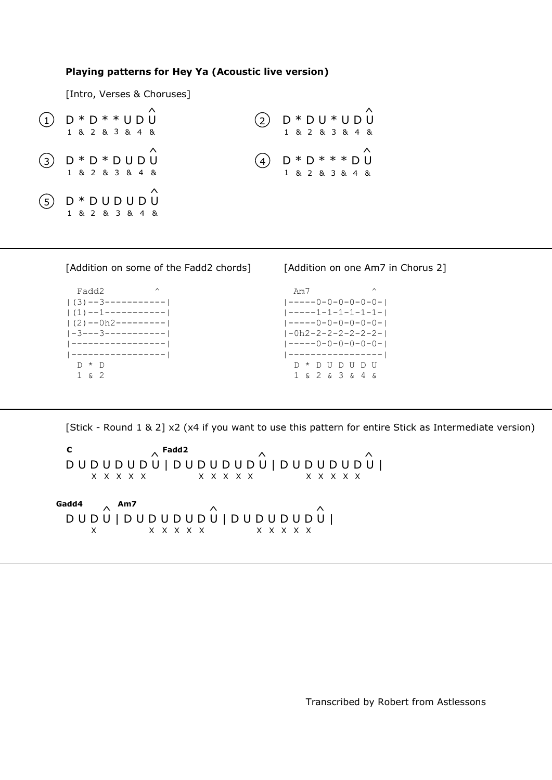## **Playing patterns for Hey Ya (Acoustic live version)**

[Intro, Verses & Choruses]

| $(1)$ D * D * * U D U<br>1 & 2 & 3 & 4 &   | $(2)$ D * D U * U D U<br>1 & 2 & 3 & 4 &   |
|--------------------------------------------|--------------------------------------------|
| $(3)$ $D * D * D U D U$<br>1 & 2 & 3 & 4 & | (4) $D * D * * * * D U$<br>1 & 2 & 3 & 4 & |
| $(5)$ D * D U D U D U<br>1 & 2 & 3 & 4 &   |                                            |

| [Addition on some of the Fadd2 chords] | [Addition on one Am7 in Chorus 2]       |
|----------------------------------------|-----------------------------------------|
| $\wedge$<br>Fadd2                      | $\wedge$<br>Am7                         |
| $\left  \right $ (3) --3-----------    | $1 - - - - - 0 - 0 - 0 - 0 - 0 - 0 - 1$ |
| (1) --1-----------                     | $1 - - - - - 1 - 1 - 1 - 1 - 1 - 1 - 1$ |
| $ (2)$ --0h2---------                  | $1 - - - - - 0 - 0 - 0 - 0 - 0 - 1$     |
| $1 - 3 - - - 3 - - - - - - - - - - 1$  | -0h2-2-2-2-2-2-2-                       |
| -----------------                      | <u> -----0-0-0-0-0-0- </u>              |
| -----------------                      | -----------------                       |
| $\star$ D                              | nununu<br>$\star$                       |
| $\delta$                               | 1 & 2 & 3 & 4 &                         |

[Stick - Round 1 & 2] x2 (x4 if you want to use this pattern for entire Stick as Intermediate version)

 $\mathbf{C}$ D U D U D U D U | D U D U D U D U | D U D U D U D U | **C Fadd2** ^ X X X X X X X X  $\hat{N}$   $\hat{N}$ X X X X X X X

 **Gadd4 Am7** D U D U | D U D U D U D U | D U D U D U D U | ^ ^ ^ X X X X X X X X X X X

Transcribed by Robert from Astlessons